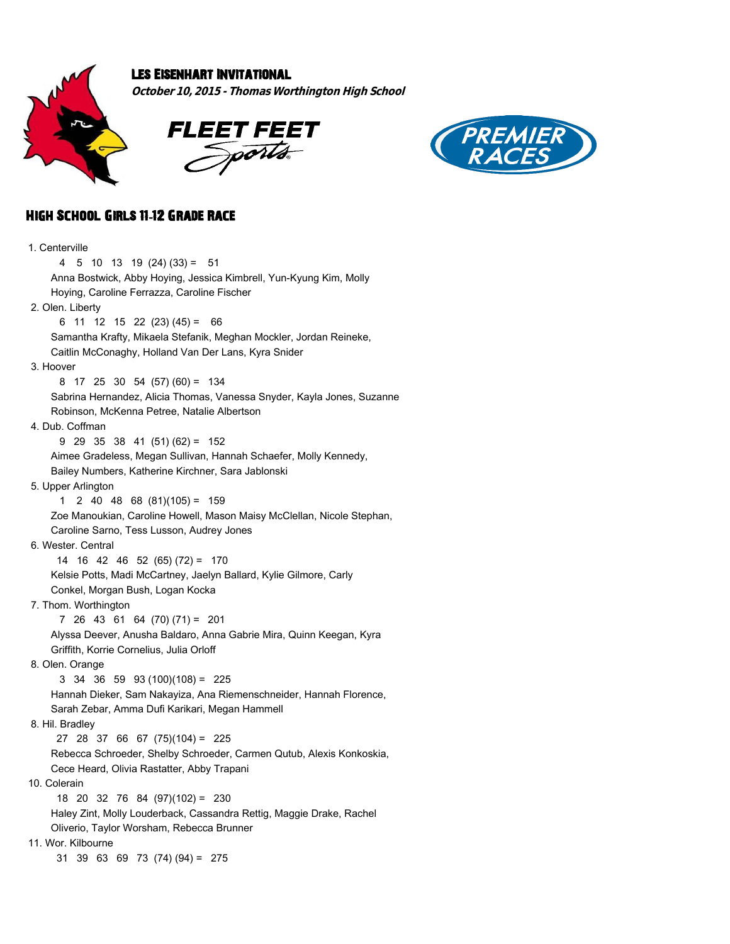

## Les Eisenhart Invitational

**October 10, 2015 - Thomas Worthington High School**





## High School Girls 11**-**12 Grade Race

| 1. Centerville                                                         |
|------------------------------------------------------------------------|
| 4<br>$5$ 10 13 19 (24) (33) = $51$                                     |
| Anna Bostwick, Abby Hoying, Jessica Kimbrell, Yun-Kyung Kim, Molly     |
| Hoying, Caroline Ferrazza, Caroline Fischer                            |
| 2. Olen. Liberty                                                       |
| $6$ 11 12 15 22 (23) (45) = 66                                         |
| Samantha Krafty, Mikaela Stefanik, Meghan Mockler, Jordan Reineke,     |
| Caitlin McConaghy, Holland Van Der Lans, Kyra Snider                   |
| 3. Hoover                                                              |
| $8$ 17 25 30 54 (57) (60) = 134                                        |
| Sabrina Hernandez, Alicia Thomas, Vanessa Snyder, Kayla Jones, Suzanne |
| Robinson, McKenna Petree, Natalie Albertson                            |
| 4. Dub. Coffman                                                        |
| $9$ 29 35 38 41 (51) (62) = 152                                        |
| Aimee Gradeless, Megan Sullivan, Hannah Schaefer, Molly Kennedy,       |
| Bailey Numbers, Katherine Kirchner, Sara Jablonski                     |
| 5. Upper Arlington                                                     |
| $2$ 40 48 68 (81)(105) = 159<br>1.                                     |
| Zoe Manoukian, Caroline Howell, Mason Maisy McClellan, Nicole Stephan, |
| Caroline Sarno, Tess Lusson, Audrey Jones                              |
| 6. Wester, Central                                                     |
| 14 16 42 46 52 (65) (72) = 170                                         |
| Kelsie Potts, Madi McCartney, Jaelyn Ballard, Kylie Gilmore, Carly     |
| Conkel, Morgan Bush, Logan Kocka                                       |
| 7. Thom. Worthington                                                   |
| 7 26 43 61 64 (70) (71) = 201                                          |
| Alyssa Deever, Anusha Baldaro, Anna Gabrie Mira, Quinn Keegan, Kyra    |
| Griffith, Korrie Cornelius, Julia Orloff                               |
| 8. Olen. Orange                                                        |
| $3\quad 34\quad 36\quad 59\quad 93\quad (100)(108) = 225$              |
| Hannah Dieker, Sam Nakayiza, Ana Riemenschneider, Hannah Florence,     |
| Sarah Zebar, Amma Dufi Karikari, Megan Hammell                         |
| 8. Hil. Bradley                                                        |
| 27 28 37 66 67 (75)(104) = 225                                         |
| Rebecca Schroeder, Shelby Schroeder, Carmen Qutub, Alexis Konkoskia,   |
| Cece Heard, Olivia Rastatter, Abby Trapani                             |
| 10. Colerain                                                           |
| 18 20 32 76 84 (97)(102) = 230                                         |
| Haley Zint, Molly Louderback, Cassandra Rettig, Maggie Drake, Rachel   |
| Oliverio, Taylor Worsham, Rebecca Brunner                              |
| 11. Wor. Kilbourne                                                     |
| 31 39 63 69 73 (74) (94) = 275                                         |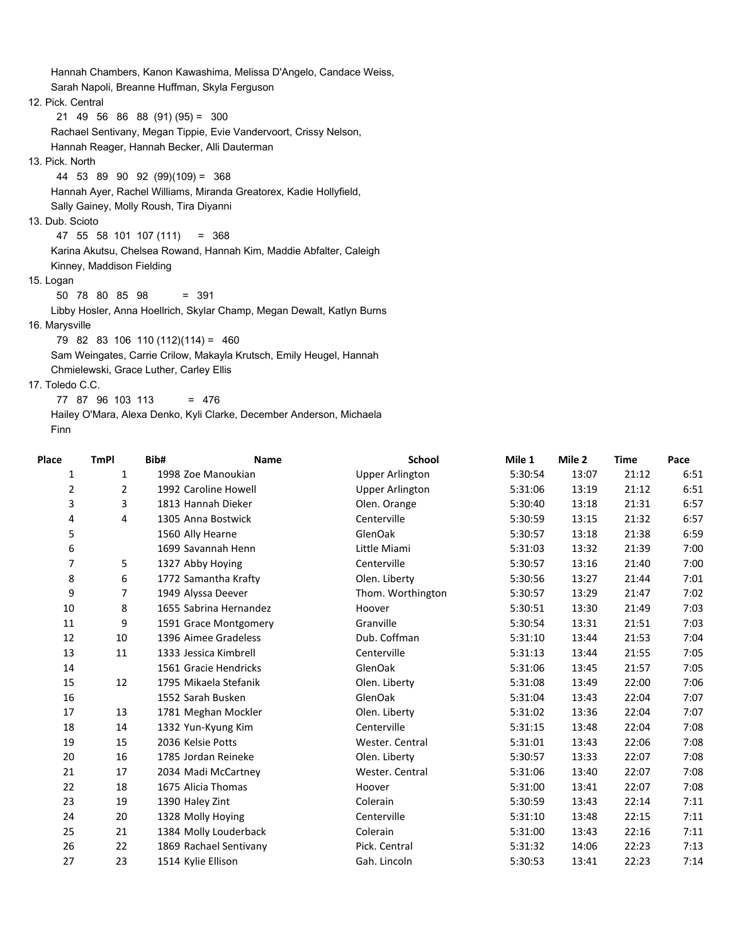Hannah Chambers, Kanon Kawashima, Melissa D'Angelo, Candace Weiss, Sarah Napoli, Breanne Huffman, Skyla Ferguson 12. Pick. Central 21 49 56 86 88 (91) (95) = 300 Rachael Sentivany, Megan Tippie, Evie Vandervoort, Crissy Nelson, Hannah Reager, Hannah Becker, Alli Dauterman 13. Pick. North 44 53 89 90 92 (99)(109) = 368 Hannah Ayer, Rachel Williams, Miranda Greatorex, Kadie Hollyfield, Sally Gainey, Molly Roush, Tira Diyanni 13. Dub. Scioto 47 55 58 101 107 (111) = 368 Karina Akutsu, Chelsea Rowand, Hannah Kim, Maddie Abfalter, Caleigh Kinney, Maddison Fielding 15. Logan 50 78 80 85 98 = 391 Libby Hosler, Anna Hoellrich, Skylar Champ, Megan Dewalt, Katlyn Burns 16. Marysville 79 82 83 106 110 (112)(114) = 460

 Sam Weingates, Carrie Crilow, Makayla Krutsch, Emily Heugel, Hannah Chmielewski, Grace Luther, Carley Ellis

17. Toledo C.C.

77 87 96 103 113 = 476

 Hailey O'Mara, Alexa Denko, Kyli Clarke, December Anderson, Michaela Finn

| Place | <b>TmPI</b>    | Bib#            | <b>Name</b>            | <b>School</b>          | Mile 1  | Mile 2 | <b>Time</b> | Pace |
|-------|----------------|-----------------|------------------------|------------------------|---------|--------|-------------|------|
| 1     | $\mathbf{1}$   |                 | 1998 Zoe Manoukian     | <b>Upper Arlington</b> | 5:30:54 | 13:07  | 21:12       | 6:51 |
| 2     | $\overline{2}$ |                 | 1992 Caroline Howell   | <b>Upper Arlington</b> | 5:31:06 | 13:19  | 21:12       | 6:51 |
| 3     | 3              |                 | 1813 Hannah Dieker     | Olen. Orange           | 5:30:40 | 13:18  | 21:31       | 6:57 |
| 4     | 4              |                 | 1305 Anna Bostwick     | Centerville            | 5:30:59 | 13:15  | 21:32       | 6:57 |
| 5     |                |                 | 1560 Ally Hearne       | GlenOak                | 5:30:57 | 13:18  | 21:38       | 6:59 |
| 6     |                |                 | 1699 Savannah Henn     | Little Miami           | 5:31:03 | 13:32  | 21:39       | 7:00 |
| 7     | 5              |                 | 1327 Abby Hoying       | Centerville            | 5:30:57 | 13:16  | 21:40       | 7:00 |
| 8     | 6              |                 | 1772 Samantha Krafty   | Olen. Liberty          | 5:30:56 | 13:27  | 21:44       | 7:01 |
| 9     | $\overline{7}$ |                 | 1949 Alyssa Deever     | Thom. Worthington      | 5:30:57 | 13:29  | 21:47       | 7:02 |
| 10    | 8              |                 | 1655 Sabrina Hernandez | Hoover                 | 5:30:51 | 13:30  | 21:49       | 7:03 |
| 11    | 9              |                 | 1591 Grace Montgomery  | Granville              | 5:30:54 | 13:31  | 21:51       | 7:03 |
| 12    | 10             |                 | 1396 Aimee Gradeless   | Dub. Coffman           | 5:31:10 | 13:44  | 21:53       | 7:04 |
| 13    | 11             |                 | 1333 Jessica Kimbrell  | Centerville            | 5:31:13 | 13:44  | 21:55       | 7:05 |
| 14    |                |                 | 1561 Gracie Hendricks  | GlenOak                | 5:31:06 | 13:45  | 21:57       | 7:05 |
| 15    | 12             |                 | 1795 Mikaela Stefanik  | Olen. Liberty          | 5:31:08 | 13:49  | 22:00       | 7:06 |
| 16    |                |                 | 1552 Sarah Busken      | GlenOak                | 5:31:04 | 13:43  | 22:04       | 7:07 |
| 17    | 13             |                 | 1781 Meghan Mockler    | Olen. Liberty          | 5:31:02 | 13:36  | 22:04       | 7:07 |
| 18    | 14             |                 | 1332 Yun-Kyung Kim     | Centerville            | 5:31:15 | 13:48  | 22:04       | 7:08 |
| 19    | 15             |                 | 2036 Kelsie Potts      | Wester. Central        | 5:31:01 | 13:43  | 22:06       | 7:08 |
| 20    | 16             |                 | 1785 Jordan Reineke    | Olen. Liberty          | 5:30:57 | 13:33  | 22:07       | 7:08 |
| 21    | 17             |                 | 2034 Madi McCartney    | Wester. Central        | 5:31:06 | 13:40  | 22:07       | 7:08 |
| 22    | 18             |                 | 1675 Alicia Thomas     | Hoover                 | 5:31:00 | 13:41  | 22:07       | 7:08 |
| 23    | 19             | 1390 Haley Zint |                        | Colerain               | 5:30:59 | 13:43  | 22:14       | 7:11 |
| 24    | 20             |                 | 1328 Molly Hoying      | Centerville            | 5:31:10 | 13:48  | 22:15       | 7:11 |
| 25    | 21             |                 | 1384 Molly Louderback  | Colerain               | 5:31:00 | 13:43  | 22:16       | 7:11 |
| 26    | 22             |                 | 1869 Rachael Sentivany | Pick. Central          | 5:31:32 | 14:06  | 22:23       | 7:13 |
| 27    | 23             |                 | 1514 Kylie Ellison     | Gah. Lincoln           | 5:30:53 | 13:41  | 22:23       | 7:14 |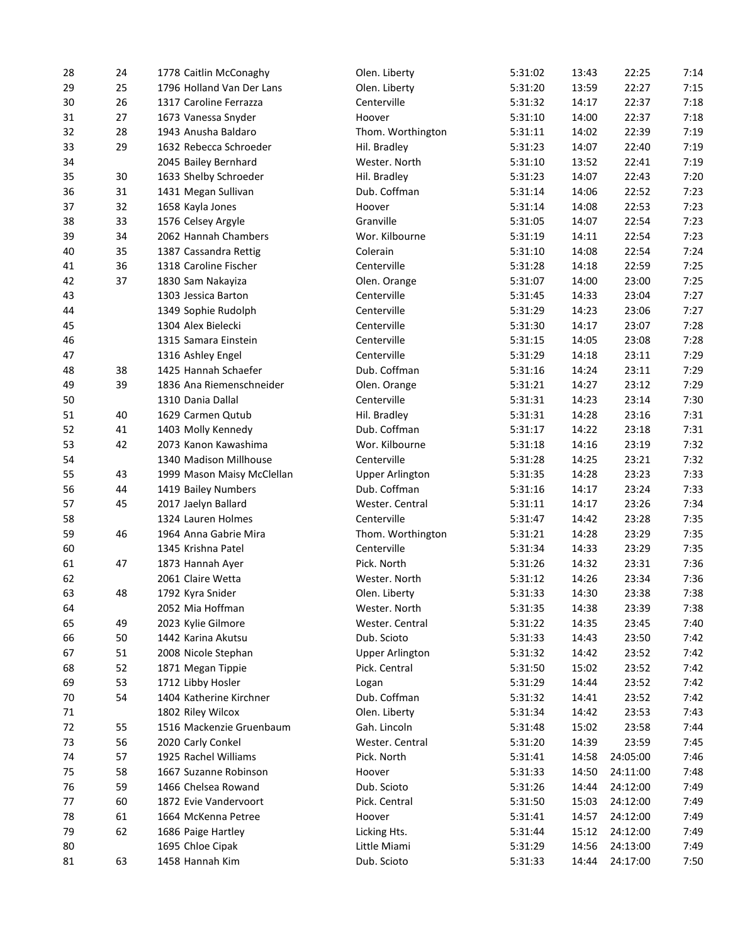| 28 | 24 | 1778 Caitlin McConaghy     | Olen. Liberty          | 5:31:02 | 13:43 | 22:25    | 7:14 |
|----|----|----------------------------|------------------------|---------|-------|----------|------|
| 29 | 25 | 1796 Holland Van Der Lans  | Olen. Liberty          | 5:31:20 | 13:59 | 22:27    | 7:15 |
| 30 | 26 | 1317 Caroline Ferrazza     | Centerville            | 5:31:32 | 14:17 | 22:37    | 7:18 |
| 31 | 27 | 1673 Vanessa Snyder        | Hoover                 | 5:31:10 | 14:00 | 22:37    | 7:18 |
| 32 | 28 | 1943 Anusha Baldaro        | Thom. Worthington      | 5:31:11 | 14:02 | 22:39    | 7:19 |
| 33 | 29 | 1632 Rebecca Schroeder     | Hil. Bradley           | 5:31:23 | 14:07 | 22:40    | 7:19 |
| 34 |    | 2045 Bailey Bernhard       | Wester. North          | 5:31:10 | 13:52 | 22:41    | 7:19 |
| 35 | 30 | 1633 Shelby Schroeder      | Hil. Bradley           | 5:31:23 | 14:07 | 22:43    | 7:20 |
| 36 | 31 | 1431 Megan Sullivan        | Dub. Coffman           | 5:31:14 | 14:06 | 22:52    | 7:23 |
| 37 | 32 | 1658 Kayla Jones           | Hoover                 | 5:31:14 | 14:08 | 22:53    | 7:23 |
| 38 | 33 | 1576 Celsey Argyle         | Granville              | 5:31:05 | 14:07 | 22:54    | 7:23 |
| 39 | 34 | 2062 Hannah Chambers       | Wor. Kilbourne         | 5:31:19 | 14:11 | 22:54    | 7:23 |
| 40 | 35 | 1387 Cassandra Rettig      | Colerain               | 5:31:10 | 14:08 | 22:54    | 7:24 |
| 41 | 36 | 1318 Caroline Fischer      | Centerville            | 5:31:28 | 14:18 | 22:59    | 7:25 |
| 42 | 37 | 1830 Sam Nakayiza          | Olen. Orange           | 5:31:07 | 14:00 | 23:00    | 7:25 |
| 43 |    | 1303 Jessica Barton        | Centerville            | 5:31:45 | 14:33 | 23:04    | 7:27 |
| 44 |    | 1349 Sophie Rudolph        | Centerville            | 5:31:29 | 14:23 | 23:06    | 7:27 |
| 45 |    | 1304 Alex Bielecki         | Centerville            | 5:31:30 | 14:17 | 23:07    | 7:28 |
| 46 |    | 1315 Samara Einstein       | Centerville            | 5:31:15 | 14:05 | 23:08    | 7:28 |
| 47 |    | 1316 Ashley Engel          | Centerville            | 5:31:29 | 14:18 | 23:11    | 7:29 |
| 48 | 38 | 1425 Hannah Schaefer       | Dub. Coffman           | 5:31:16 | 14:24 | 23:11    | 7:29 |
| 49 | 39 | 1836 Ana Riemenschneider   | Olen. Orange           | 5:31:21 | 14:27 | 23:12    | 7:29 |
| 50 |    | 1310 Dania Dallal          | Centerville            | 5:31:31 | 14:23 | 23:14    | 7:30 |
| 51 | 40 | 1629 Carmen Qutub          | Hil. Bradley           | 5:31:31 | 14:28 | 23:16    | 7:31 |
| 52 | 41 | 1403 Molly Kennedy         | Dub. Coffman           | 5:31:17 | 14:22 | 23:18    | 7:31 |
| 53 | 42 | 2073 Kanon Kawashima       | Wor. Kilbourne         | 5:31:18 | 14:16 | 23:19    | 7:32 |
| 54 |    | 1340 Madison Millhouse     | Centerville            | 5:31:28 | 14:25 | 23:21    | 7:32 |
|    |    |                            |                        |         |       | 23:23    |      |
| 55 | 43 | 1999 Mason Maisy McClellan | <b>Upper Arlington</b> | 5:31:35 | 14:28 |          | 7:33 |
| 56 | 44 | 1419 Bailey Numbers        | Dub. Coffman           | 5:31:16 | 14:17 | 23:24    | 7:33 |
| 57 | 45 | 2017 Jaelyn Ballard        | Wester. Central        | 5:31:11 | 14:17 | 23:26    | 7:34 |
| 58 |    | 1324 Lauren Holmes         | Centerville            | 5:31:47 | 14:42 | 23:28    | 7:35 |
| 59 | 46 | 1964 Anna Gabrie Mira      | Thom. Worthington      | 5:31:21 | 14:28 | 23:29    | 7:35 |
| 60 |    | 1345 Krishna Patel         | Centerville            | 5:31:34 | 14:33 | 23:29    | 7:35 |
| 61 | 47 | 1873 Hannah Ayer           | Pick. North            | 5:31:26 | 14:32 | 23:31    | 7:36 |
| 62 |    | 2061 Claire Wetta          | Wester. North          | 5:31:12 | 14:26 | 23:34    | 7:36 |
| 63 | 48 | 1792 Kyra Snider           | Olen. Liberty          | 5:31:33 | 14:30 | 23:38    | 7:38 |
| 64 |    | 2052 Mia Hoffman           | Wester. North          | 5:31:35 | 14:38 | 23:39    | 7:38 |
| 65 | 49 | 2023 Kylie Gilmore         | Wester. Central        | 5:31:22 | 14:35 | 23:45    | 7:40 |
| 66 | 50 | 1442 Karina Akutsu         | Dub. Scioto            | 5:31:33 | 14:43 | 23:50    | 7:42 |
| 67 | 51 | 2008 Nicole Stephan        | <b>Upper Arlington</b> | 5:31:32 | 14:42 | 23:52    | 7:42 |
| 68 | 52 | 1871 Megan Tippie          | Pick. Central          | 5:31:50 | 15:02 | 23:52    | 7:42 |
| 69 | 53 | 1712 Libby Hosler          | Logan                  | 5:31:29 | 14:44 | 23:52    | 7:42 |
| 70 | 54 | 1404 Katherine Kirchner    | Dub. Coffman           | 5:31:32 | 14:41 | 23:52    | 7:42 |
| 71 |    | 1802 Riley Wilcox          | Olen. Liberty          | 5:31:34 | 14:42 | 23:53    | 7:43 |
| 72 | 55 | 1516 Mackenzie Gruenbaum   | Gah. Lincoln           | 5:31:48 | 15:02 | 23:58    | 7:44 |
| 73 | 56 | 2020 Carly Conkel          | Wester. Central        | 5:31:20 | 14:39 | 23:59    | 7:45 |
| 74 | 57 | 1925 Rachel Williams       | Pick. North            | 5:31:41 | 14:58 | 24:05:00 | 7:46 |
| 75 | 58 | 1667 Suzanne Robinson      | Hoover                 | 5:31:33 | 14:50 | 24:11:00 | 7:48 |
| 76 | 59 | 1466 Chelsea Rowand        | Dub. Scioto            | 5:31:26 | 14:44 | 24:12:00 | 7:49 |
| 77 | 60 | 1872 Evie Vandervoort      | Pick. Central          | 5:31:50 | 15:03 | 24:12:00 | 7:49 |
| 78 | 61 | 1664 McKenna Petree        | Hoover                 | 5:31:41 | 14:57 | 24:12:00 | 7:49 |
| 79 | 62 | 1686 Paige Hartley         | Licking Hts.           | 5:31:44 | 15:12 | 24:12:00 | 7:49 |
| 80 |    | 1695 Chloe Cipak           | Little Miami           | 5:31:29 | 14:56 | 24:13:00 | 7:49 |
| 81 | 63 | 1458 Hannah Kim            | Dub. Scioto            | 5:31:33 | 14:44 | 24:17:00 | 7:50 |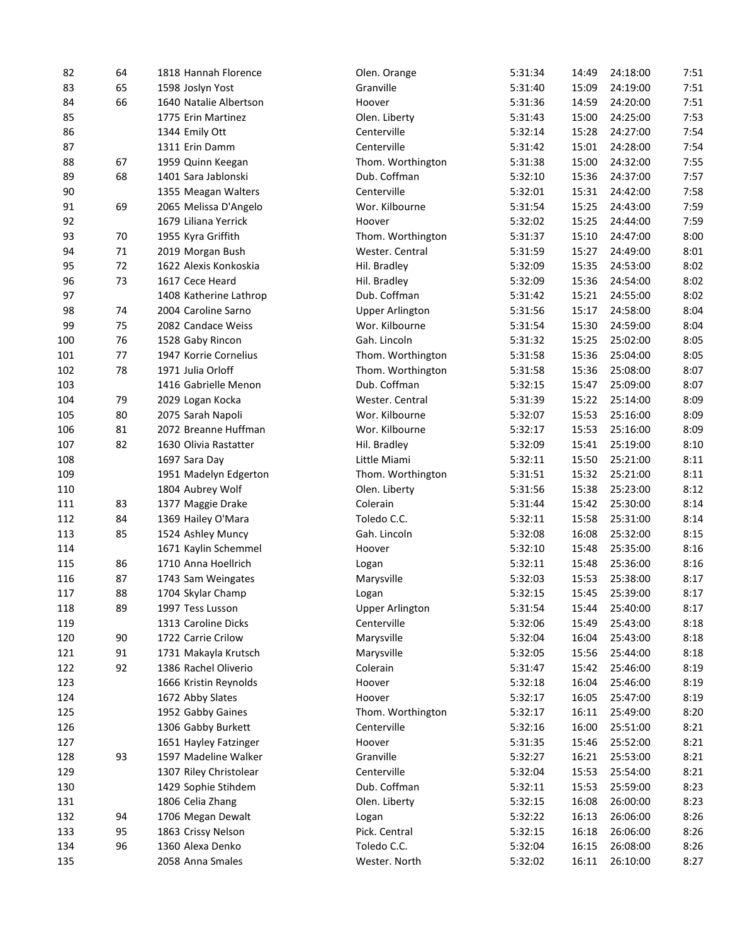| 82  | 64 | 1818 Hannah Florence   | Olen. Orange           | 5:31:34 | 14:49 | 24:18:00 | 7:51         |
|-----|----|------------------------|------------------------|---------|-------|----------|--------------|
| 83  | 65 | 1598 Joslyn Yost       | Granville              | 5:31:40 | 15:09 | 24:19:00 | 7:51         |
| 84  | 66 | 1640 Natalie Albertson | Hoover                 | 5:31:36 | 14:59 | 24:20:00 | 7:51         |
| 85  |    | 1775 Erin Martinez     | Olen. Liberty          | 5:31:43 | 15:00 | 24:25:00 | 7:53         |
| 86  |    | 1344 Emily Ott         | Centerville            | 5:32:14 | 15:28 | 24:27:00 | 7:54         |
| 87  |    | 1311 Erin Damm         | Centerville            | 5:31:42 | 15:01 | 24:28:00 | 7:54         |
| 88  | 67 | 1959 Quinn Keegan      | Thom. Worthington      | 5:31:38 | 15:00 | 24:32:00 | 7:55         |
| 89  | 68 | 1401 Sara Jablonski    | Dub. Coffman           | 5:32:10 | 15:36 | 24:37:00 | 7:57         |
| 90  |    | 1355 Meagan Walters    | Centerville            | 5:32:01 | 15:31 | 24:42:00 | 7:58         |
| 91  | 69 | 2065 Melissa D'Angelo  | Wor. Kilbourne         | 5:31:54 | 15:25 | 24:43:00 | 7:59         |
| 92  |    | 1679 Liliana Yerrick   | Hoover                 | 5:32:02 | 15:25 | 24:44:00 | 7:59         |
| 93  | 70 | 1955 Kyra Griffith     | Thom. Worthington      | 5:31:37 | 15:10 | 24:47:00 | 8:00         |
| 94  | 71 | 2019 Morgan Bush       | Wester. Central        | 5:31:59 | 15:27 | 24:49:00 | 8:01         |
| 95  | 72 | 1622 Alexis Konkoskia  | Hil. Bradley           | 5:32:09 | 15:35 | 24:53:00 | 8:02         |
| 96  | 73 | 1617 Cece Heard        | Hil. Bradley           | 5:32:09 | 15:36 | 24:54:00 | 8:02         |
| 97  |    | 1408 Katherine Lathrop | Dub. Coffman           | 5:31:42 | 15:21 | 24:55:00 | 8:02         |
| 98  | 74 | 2004 Caroline Sarno    | <b>Upper Arlington</b> | 5:31:56 | 15:17 | 24:58:00 | 8:04         |
| 99  | 75 | 2082 Candace Weiss     | Wor. Kilbourne         | 5:31:54 | 15:30 | 24:59:00 | 8:04         |
| 100 | 76 | 1528 Gaby Rincon       | Gah. Lincoln           | 5:31:32 | 15:25 | 25:02:00 | 8:05         |
| 101 | 77 | 1947 Korrie Cornelius  | Thom. Worthington      | 5:31:58 | 15:36 | 25:04:00 | 8:05         |
| 102 | 78 | 1971 Julia Orloff      | Thom. Worthington      | 5:31:58 | 15:36 | 25:08:00 | 8:07         |
| 103 |    | 1416 Gabrielle Menon   | Dub. Coffman           | 5:32:15 | 15:47 | 25:09:00 | 8:07         |
| 104 | 79 | 2029 Logan Kocka       | Wester. Central        | 5:31:39 | 15:22 | 25:14:00 | 8:09         |
| 105 | 80 | 2075 Sarah Napoli      | Wor. Kilbourne         | 5:32:07 | 15:53 | 25:16:00 | 8:09         |
| 106 | 81 | 2072 Breanne Huffman   | Wor. Kilbourne         | 5:32:17 | 15:53 | 25:16:00 | 8:09         |
| 107 | 82 | 1630 Olivia Rastatter  | Hil. Bradley           | 5:32:09 | 15:41 | 25:19:00 | 8:10         |
| 108 |    | 1697 Sara Day          | Little Miami           | 5:32:11 | 15:50 | 25:21:00 | 8:11         |
|     |    |                        |                        |         |       | 25:21:00 |              |
| 109 |    | 1951 Madelyn Edgerton  | Thom. Worthington      | 5:31:51 | 15:32 |          | 8:11<br>8:12 |
| 110 |    | 1804 Aubrey Wolf       | Olen. Liberty          | 5:31:56 | 15:38 | 25:23:00 |              |
| 111 | 83 | 1377 Maggie Drake      | Colerain               | 5:31:44 | 15:42 | 25:30:00 | 8:14         |
| 112 | 84 | 1369 Hailey O'Mara     | Toledo C.C.            | 5:32:11 | 15:58 | 25:31:00 | 8:14         |
| 113 | 85 | 1524 Ashley Muncy      | Gah. Lincoln           | 5:32:08 | 16:08 | 25:32:00 | 8:15         |
| 114 |    | 1671 Kaylin Schemmel   | Hoover                 | 5:32:10 | 15:48 | 25:35:00 | 8:16         |
| 115 | 86 | 1710 Anna Hoellrich    | Logan                  | 5:32:11 | 15:48 | 25:36:00 | 8:16         |
| 116 | 87 | 1743 Sam Weingates     | Marysville             | 5:32:03 | 15:53 | 25:38:00 | 8:17         |
| 117 | 88 | 1704 Skylar Champ      | Logan                  | 5:32:15 | 15:45 | 25:39:00 | 8:17         |
| 118 | 89 | 1997 Tess Lusson       | <b>Upper Arlington</b> | 5:31:54 | 15:44 | 25:40:00 | 8:17         |
| 119 |    | 1313 Caroline Dicks    | Centerville            | 5:32:06 | 15:49 | 25:43:00 | 8:18         |
| 120 | 90 | 1722 Carrie Crilow     | Marysville             | 5:32:04 | 16:04 | 25:43:00 | 8:18         |
| 121 | 91 | 1731 Makayla Krutsch   | Marysville             | 5:32:05 | 15:56 | 25:44:00 | 8:18         |
| 122 | 92 | 1386 Rachel Oliverio   | Colerain               | 5:31:47 | 15:42 | 25:46:00 | 8:19         |
| 123 |    | 1666 Kristin Reynolds  | Hoover                 | 5:32:18 | 16:04 | 25:46:00 | 8:19         |
| 124 |    | 1672 Abby Slates       | Hoover                 | 5:32:17 | 16:05 | 25:47:00 | 8:19         |
| 125 |    | 1952 Gabby Gaines      | Thom. Worthington      | 5:32:17 | 16:11 | 25:49:00 | 8:20         |
| 126 |    | 1306 Gabby Burkett     | Centerville            | 5:32:16 | 16:00 | 25:51:00 | 8:21         |
| 127 |    | 1651 Hayley Fatzinger  | Hoover                 | 5:31:35 | 15:46 | 25:52:00 | 8:21         |
| 128 | 93 | 1597 Madeline Walker   | Granville              | 5:32:27 | 16:21 | 25:53:00 | 8:21         |
| 129 |    | 1307 Riley Christolear | Centerville            | 5:32:04 | 15:53 | 25:54:00 | 8:21         |
| 130 |    | 1429 Sophie Stihdem    | Dub. Coffman           | 5:32:11 | 15:53 | 25:59:00 | 8:23         |
| 131 |    | 1806 Celia Zhang       | Olen. Liberty          | 5:32:15 | 16:08 | 26:00:00 | 8:23         |
| 132 | 94 | 1706 Megan Dewalt      | Logan                  | 5:32:22 | 16:13 | 26:06:00 | 8:26         |
| 133 | 95 | 1863 Crissy Nelson     | Pick. Central          | 5:32:15 | 16:18 | 26:06:00 | 8:26         |
| 134 | 96 | 1360 Alexa Denko       | Toledo C.C.            | 5:32:04 | 16:15 | 26:08:00 | 8:26         |
| 135 |    | 2058 Anna Smales       | Wester. North          | 5:32:02 | 16:11 | 26:10:00 | 8:27         |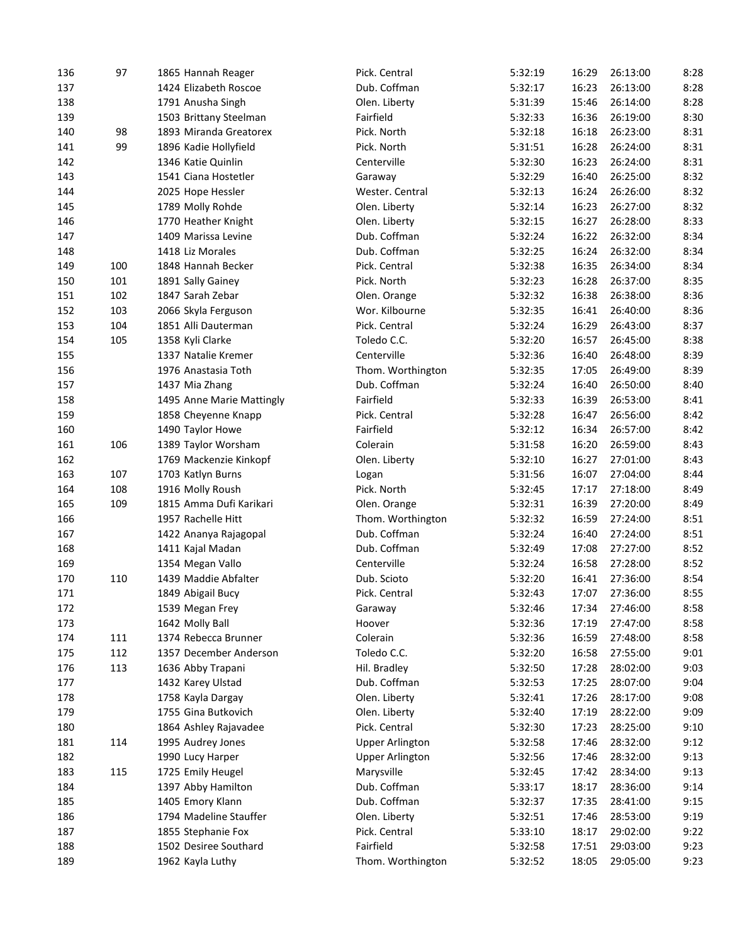| 136 | 97  | 1865 Hannah Reager        | Pick. Central          | 5:32:19 | 16:29 | 26:13:00 | 8:28 |
|-----|-----|---------------------------|------------------------|---------|-------|----------|------|
| 137 |     | 1424 Elizabeth Roscoe     | Dub. Coffman           | 5:32:17 | 16:23 | 26:13:00 | 8:28 |
| 138 |     | 1791 Anusha Singh         | Olen. Liberty          | 5:31:39 | 15:46 | 26:14:00 | 8:28 |
| 139 |     | 1503 Brittany Steelman    | Fairfield              | 5:32:33 | 16:36 | 26:19:00 | 8:30 |
| 140 | 98  | 1893 Miranda Greatorex    | Pick. North            | 5:32:18 | 16:18 | 26:23:00 | 8:31 |
| 141 | 99  | 1896 Kadie Hollyfield     | Pick. North            | 5:31:51 | 16:28 | 26:24:00 | 8:31 |
| 142 |     | 1346 Katie Quinlin        | Centerville            | 5:32:30 | 16:23 | 26:24:00 | 8:31 |
| 143 |     | 1541 Ciana Hostetler      | Garaway                | 5:32:29 | 16:40 | 26:25:00 | 8:32 |
| 144 |     | 2025 Hope Hessler         | Wester. Central        | 5:32:13 | 16:24 | 26:26:00 | 8:32 |
| 145 |     | 1789 Molly Rohde          | Olen. Liberty          | 5:32:14 | 16:23 | 26:27:00 | 8:32 |
| 146 |     | 1770 Heather Knight       | Olen. Liberty          | 5:32:15 | 16:27 | 26:28:00 | 8:33 |
| 147 |     | 1409 Marissa Levine       | Dub. Coffman           | 5:32:24 | 16:22 | 26:32:00 | 8:34 |
| 148 |     | 1418 Liz Morales          | Dub. Coffman           | 5:32:25 | 16:24 | 26:32:00 | 8:34 |
| 149 | 100 | 1848 Hannah Becker        | Pick. Central          | 5:32:38 | 16:35 | 26:34:00 | 8:34 |
| 150 | 101 | 1891 Sally Gainey         | Pick. North            | 5:32:23 | 16:28 | 26:37:00 | 8:35 |
| 151 | 102 | 1847 Sarah Zebar          | Olen. Orange           | 5:32:32 | 16:38 | 26:38:00 | 8:36 |
| 152 | 103 | 2066 Skyla Ferguson       | Wor. Kilbourne         | 5:32:35 | 16:41 | 26:40:00 | 8:36 |
| 153 | 104 | 1851 Alli Dauterman       | Pick. Central          | 5:32:24 | 16:29 | 26:43:00 | 8:37 |
| 154 | 105 | 1358 Kyli Clarke          | Toledo C.C.            | 5:32:20 | 16:57 | 26:45:00 | 8:38 |
| 155 |     | 1337 Natalie Kremer       | Centerville            | 5:32:36 | 16:40 | 26:48:00 | 8:39 |
| 156 |     | 1976 Anastasia Toth       | Thom. Worthington      | 5:32:35 | 17:05 | 26:49:00 | 8:39 |
| 157 |     | 1437 Mia Zhang            | Dub. Coffman           | 5:32:24 | 16:40 | 26:50:00 | 8:40 |
| 158 |     | 1495 Anne Marie Mattingly | Fairfield              | 5:32:33 | 16:39 | 26:53:00 | 8:41 |
| 159 |     | 1858 Cheyenne Knapp       | Pick. Central          | 5:32:28 | 16:47 | 26:56:00 | 8:42 |
| 160 |     | 1490 Taylor Howe          | Fairfield              | 5:32:12 | 16:34 | 26:57:00 | 8:42 |
| 161 | 106 | 1389 Taylor Worsham       | Colerain               | 5:31:58 | 16:20 | 26:59:00 | 8:43 |
|     |     |                           |                        |         |       |          | 8:43 |
| 162 |     | 1769 Mackenzie Kinkopf    | Olen. Liberty          | 5:32:10 | 16:27 | 27:01:00 |      |
| 163 | 107 | 1703 Katlyn Burns         | Logan                  | 5:31:56 | 16:07 | 27:04:00 | 8:44 |
| 164 | 108 | 1916 Molly Roush          | Pick. North            | 5:32:45 | 17:17 | 27:18:00 | 8:49 |
| 165 | 109 | 1815 Amma Dufi Karikari   | Olen. Orange           | 5:32:31 | 16:39 | 27:20:00 | 8:49 |
| 166 |     | 1957 Rachelle Hitt        | Thom. Worthington      | 5:32:32 | 16:59 | 27:24:00 | 8:51 |
| 167 |     | 1422 Ananya Rajagopal     | Dub. Coffman           | 5:32:24 | 16:40 | 27:24:00 | 8:51 |
| 168 |     | 1411 Kajal Madan          | Dub. Coffman           | 5:32:49 | 17:08 | 27:27:00 | 8:52 |
| 169 |     | 1354 Megan Vallo          | Centerville            | 5:32:24 | 16:58 | 27:28:00 | 8:52 |
| 170 | 110 | 1439 Maddie Abfalter      | Dub. Scioto            | 5:32:20 | 16:41 | 27:36:00 | 8:54 |
| 171 |     | 1849 Abigail Bucy         | Pick. Central          | 5:32:43 | 17:07 | 27:36:00 | 8:55 |
| 172 |     | 1539 Megan Frey           | Garaway                | 5:32:46 | 17:34 | 27:46:00 | 8:58 |
| 173 |     | 1642 Molly Ball           | Hoover                 | 5:32:36 | 17:19 | 27:47:00 | 8:58 |
| 174 | 111 | 1374 Rebecca Brunner      | Colerain               | 5:32:36 | 16:59 | 27:48:00 | 8:58 |
| 175 | 112 | 1357 December Anderson    | Toledo C.C.            | 5:32:20 | 16:58 | 27:55:00 | 9:01 |
| 176 | 113 | 1636 Abby Trapani         | Hil. Bradley           | 5:32:50 | 17:28 | 28:02:00 | 9:03 |
| 177 |     | 1432 Karey Ulstad         | Dub. Coffman           | 5:32:53 | 17:25 | 28:07:00 | 9:04 |
| 178 |     | 1758 Kayla Dargay         | Olen. Liberty          | 5:32:41 | 17:26 | 28:17:00 | 9:08 |
| 179 |     | 1755 Gina Butkovich       | Olen. Liberty          | 5:32:40 | 17:19 | 28:22:00 | 9:09 |
| 180 |     | 1864 Ashley Rajavadee     | Pick. Central          | 5:32:30 | 17:23 | 28:25:00 | 9:10 |
| 181 | 114 | 1995 Audrey Jones         | <b>Upper Arlington</b> | 5:32:58 | 17:46 | 28:32:00 | 9:12 |
| 182 |     | 1990 Lucy Harper          | <b>Upper Arlington</b> | 5:32:56 | 17:46 | 28:32:00 | 9:13 |
| 183 | 115 | 1725 Emily Heugel         | Marysville             | 5:32:45 | 17:42 | 28:34:00 | 9:13 |
| 184 |     | 1397 Abby Hamilton        | Dub. Coffman           | 5:33:17 | 18:17 | 28:36:00 | 9:14 |
| 185 |     | 1405 Emory Klann          | Dub. Coffman           | 5:32:37 | 17:35 | 28:41:00 | 9:15 |
| 186 |     | 1794 Madeline Stauffer    | Olen. Liberty          | 5:32:51 | 17:46 | 28:53:00 | 9:19 |
| 187 |     | 1855 Stephanie Fox        | Pick. Central          | 5:33:10 | 18:17 | 29:02:00 | 9:22 |
| 188 |     | 1502 Desiree Southard     | Fairfield              | 5:32:58 | 17:51 | 29:03:00 | 9:23 |
| 189 |     | 1962 Kayla Luthy          | Thom. Worthington      | 5:32:52 | 18:05 | 29:05:00 | 9:23 |
|     |     |                           |                        |         |       |          |      |